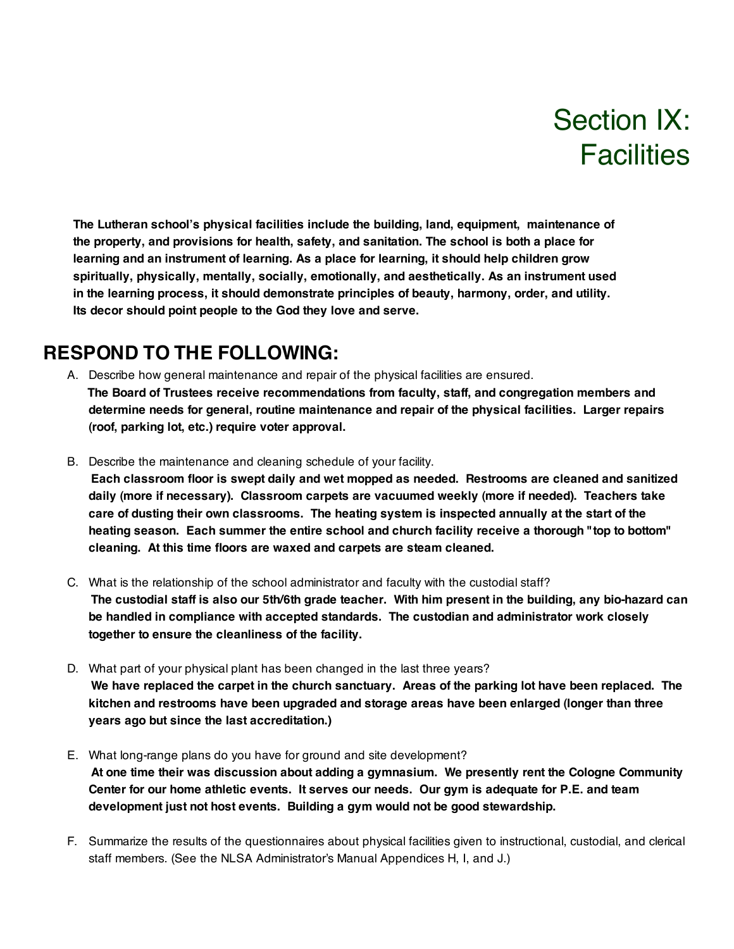# Section IX: **Facilities**

**The Lutheran school's physical facilities include the building, land, equipment, maintenance of the property, and provisions for health, safety, and sanitation. The school is both a place for learning and an instrument of learning. As a place for learning, it should help children grow spiritually, physically, mentally, socially, emotionally, and aesthetically. As an instrument used in the learning process, it should demonstrate principles of beauty, harmony, order, and utility. Its decor should point people to the God they love and serve.**

#### **RESPOND TO THE FOLLOWING:**

- A. Describe how general maintenance and repair of the physical facilities are ensured. **The Board of Trustees receive recommendations from faculty, staff, and congregation members and determine needs for general, routine maintenance and repair of the physical facilities. Larger repairs (roof, parking lot, etc.) require voter approval.**
- B. Describe the maintenance and cleaning schedule of your facility.

**Each classroom floor is swept daily and wet mopped as needed. Restrooms are cleaned and sanitized daily (more if necessary). Classroom carpets are vacuumed weekly (more if needed). Teachers take care of dusting their own classrooms. The heating system is inspected annually at the start of the heating season. Each summer the entire school and church facility receive a thorough "top to bottom" cleaning. At this time floors are waxed and carpets are steam cleaned.**

- C. What is the relationship of the school administrator and faculty with the custodial staff? The custodial staff is also our 5th/6th grade teacher. With him present in the building, any bio-hazard can **be handled in compliance with accepted standards. The custodian and administrator work closely together to ensure the cleanliness of the facility.**
- D. What part of your physical plant has been changed in the last three years? We have replaced the carpet in the church sanctuary. Areas of the parking lot have been replaced. The **kitchen and restrooms have been upgraded and storage areas have been enlarged (longer than three years ago but since the last accreditation.)**
- E. What long-range plans do you have for ground and site development? **At one time their was discussion about adding a gymnasium. We presently rent the Cologne Community Center for our home athletic events. It serves our needs. Our gym is adequate for P.E. and team development just not host events. Building a gym would not be good stewardship.**
- F. Summarize the results of the questionnaires about physical facilities given to instructional, custodial, and clerical staff members. (See the NLSA Administrator's Manual Appendices H, I, and J.)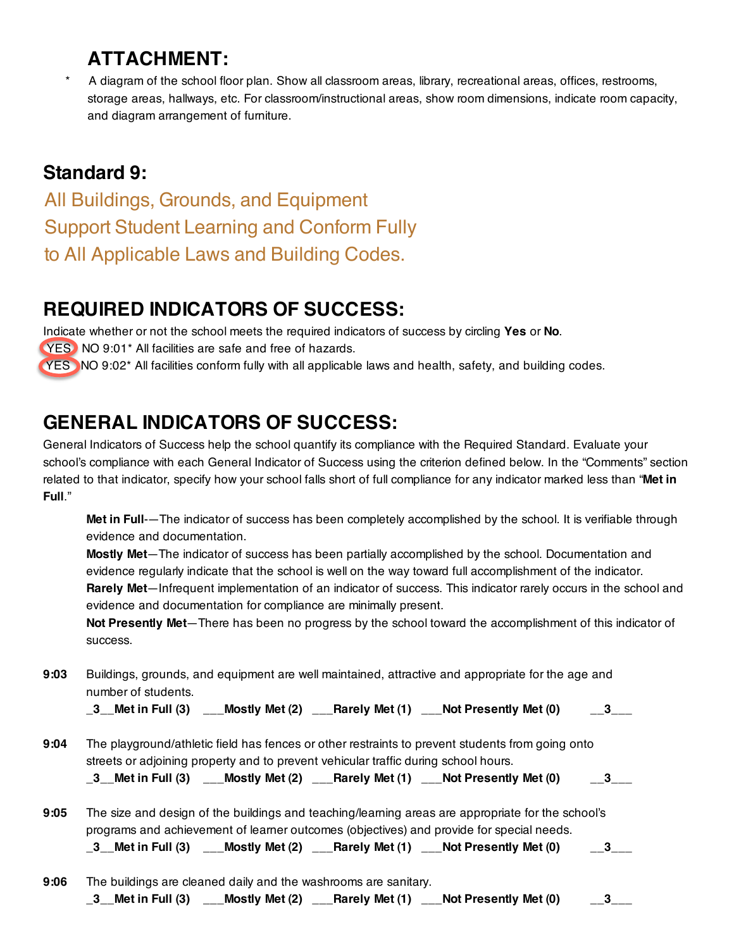### **ATTACHMENT:**

A diagram of the school floor plan. Show all classroom areas, library, recreational areas, offices, restrooms, storage areas, hallways, etc. For classroom/instructional areas, show room dimensions, indicate room capacity, and diagram arrangement of furniture.

#### **Standard 9:**

All Buildings, Grounds, and Equipment Support Student Learning and Conform Fully to All Applicable Laws and Building Codes.

#### **REQUIRED INDICATORS OF SUCCESS:**

Indicate whether or not the school meets the required indicators of success by circling **Yes** or **No**. YES NO 9:01\* All facilities are safe and free of hazards. YES NO 9:02<sup>\*</sup> All facilities conform fully with all applicable laws and health, safety, and building codes.

## **GENERAL INDICATORS OF SUCCESS:**

General Indicators of Success help the school quantify its compliance with the Required Standard. Evaluate your school's compliance with each General Indicator of Success using the criterion defined below. In the "Comments" section related to that indicator, specify how your school falls short of full compliance for any indicator marked less than "**Met in Full**."

**Met in Full**-—The indicator of success has been completely accomplished by the school. It is verifiable through evidence and documentation.

**Mostly Met**—The indicator of success has been partially accomplished by the school. Documentation and evidence regularly indicate that the school is well on the way toward full accomplishment of the indicator. **Rarely Met**—Infrequent implementation of an indicator of success. This indicator rarely occurs in the school and evidence and documentation for compliance are minimally present.

**Not Presently Met**—There has been no progress by the school toward the accomplishment of this indicator of success.

**9:03** Buildings, grounds, and equipment are well maintained, attractive and appropriate for the age and number of students.

|  | $\_3\_$ Met in Full (3) |  | $\text{---}$ Mostly Met (2) $\text{---}$ Rarely Met (1) | $\frac{1}{100}$ Not Presently Met (0) | $-$ 3 $-$ |
|--|-------------------------|--|---------------------------------------------------------|---------------------------------------|-----------|
|--|-------------------------|--|---------------------------------------------------------|---------------------------------------|-----------|

**9:04** The playground/athletic field has fences or other restraints to prevent students from going onto streets or adjoining property and to prevent vehicular traffic during school hours.

|  | _3__Met in Full (3) |  |  | ___Mostly Met (2) ___Rarely Met (1) ___Not Presently Met (0) |  |
|--|---------------------|--|--|--------------------------------------------------------------|--|
|--|---------------------|--|--|--------------------------------------------------------------|--|

- **9:05** The size and design of the buildings and teaching/learning areas are appropriate for the school's programs and achievement of learner outcomes (objectives) and provide for special needs. **\_3\_\_Met in Full (3) \_\_\_Mostly Met (2) \_\_\_Rarely Met (1) \_\_\_Not Presently Met (0) \_\_3\_\_\_**
- **9:06** The buildings are cleaned daily and the washrooms are sanitary. **\_3\_\_Met in Full (3) \_\_\_Mostly Met (2) \_\_\_Rarely Met (1) \_\_\_Not Presently Met (0) \_\_3\_\_\_**